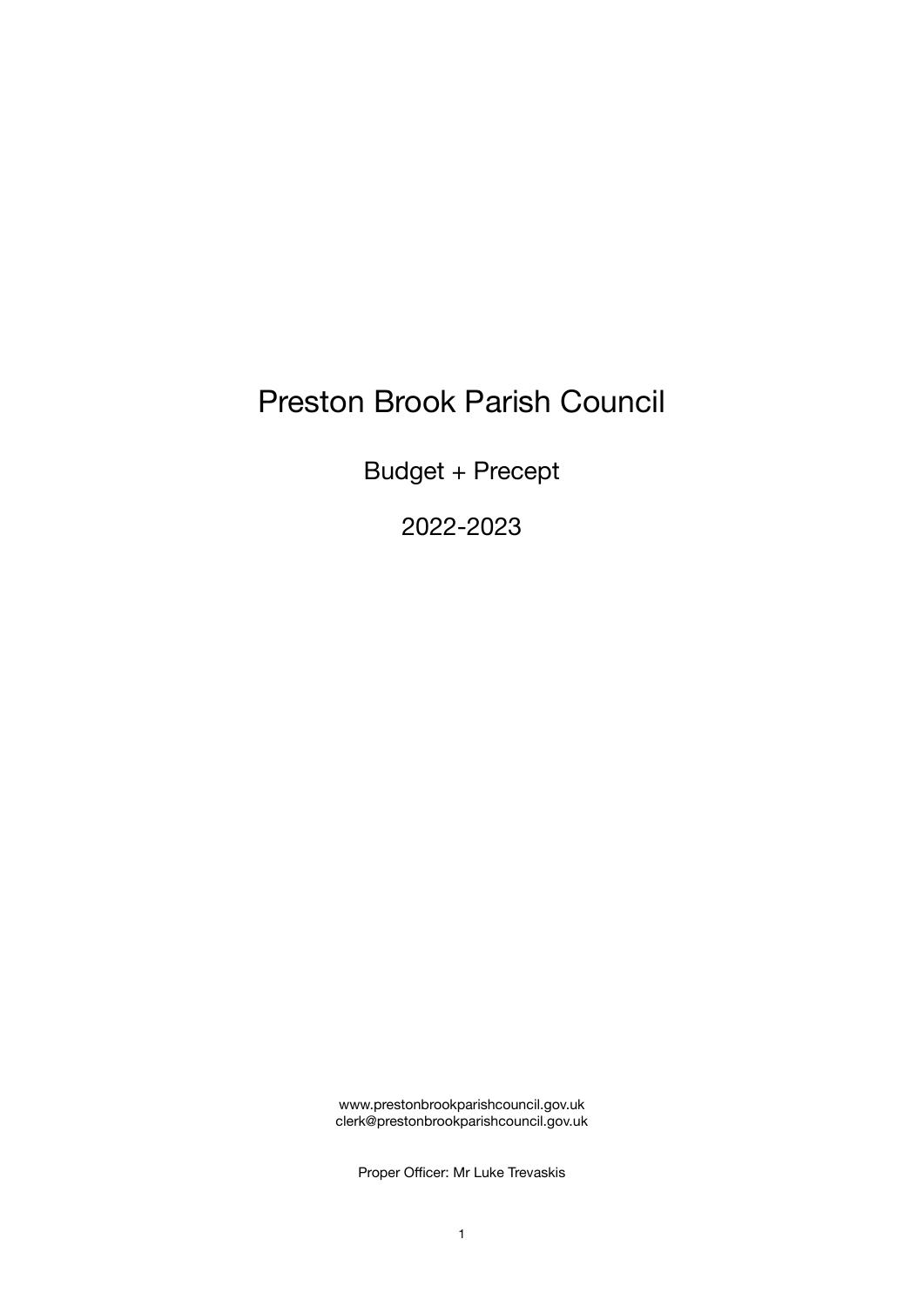# Preston Brook Parish Council

Budget + Precept

2022-2023

www.prestonbrookparishcouncil.gov.uk clerk@prestonbrookparishcouncil.gov.uk

Proper Officer: Mr Luke Trevaskis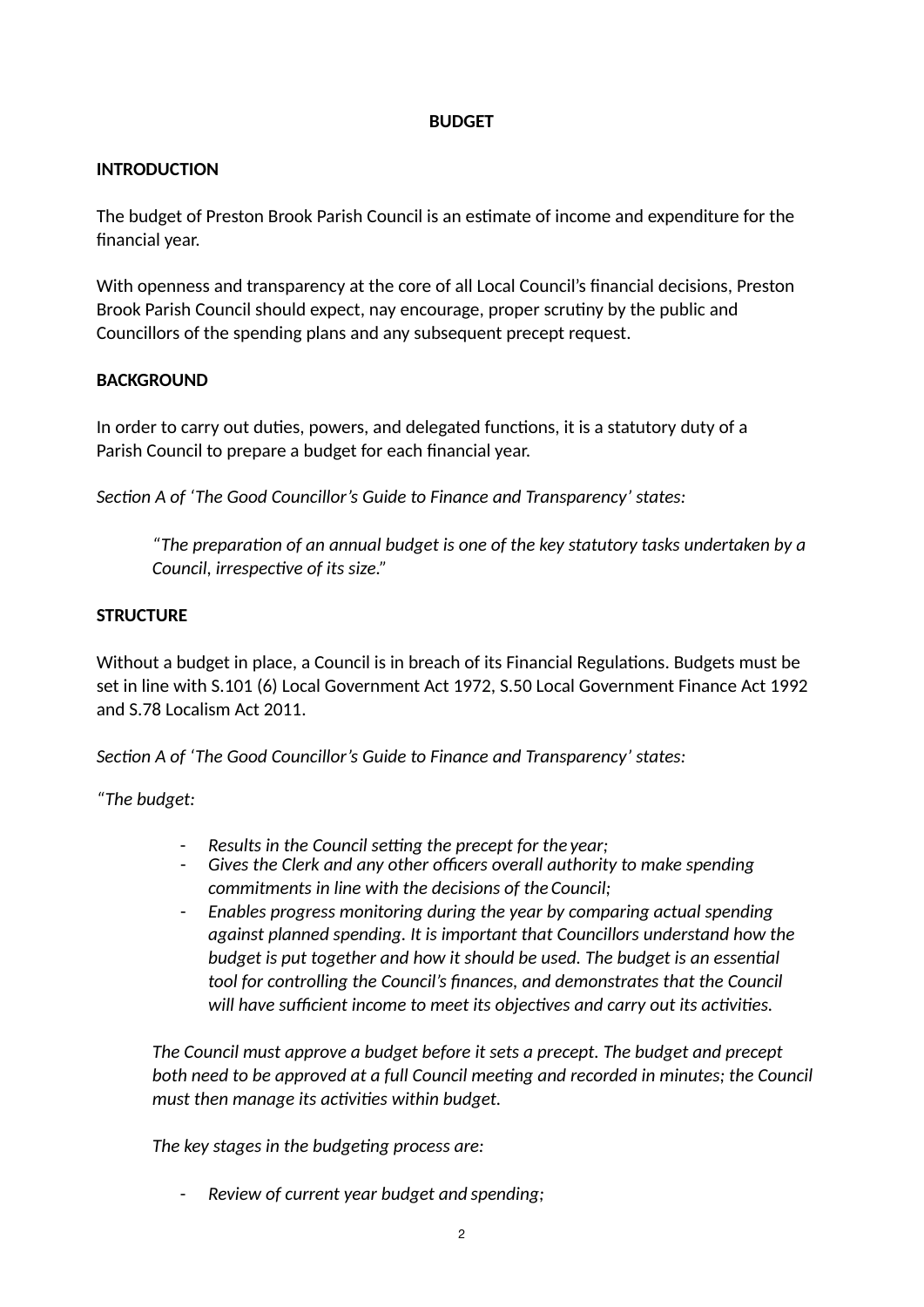## **BUDGET**

## **INTRODUCTION**

The budget of Preston Brook Parish Council is an estimate of income and expenditure for the financial year.

With openness and transparency at the core of all Local Council's financial decisions, Preston Brook Parish Council should expect, nay encourage, proper scrutiny by the public and Councillors of the spending plans and any subsequent precept request.

## **BACKGROUND**

In order to carry out duties, powers, and delegated functions, it is a statutory duty of a Parish Council to prepare a budget for each financial year.

*Section A of 'The Good Councillor's Guide to Finance and Transparency' states:* 

*"The prepara%on of an annual budget is one of the key statutory tasks undertaken by a Council, irrespective of its size."* 

## **STRUCTURE**

Without a budget in place, a Council is in breach of its Financial Regulations. Budgets must be set in line with S.101 (6) Local Government Act 1972, S.50 Local Government Finance Act 1992 and S.78 Localism Act 2011.

*Section A of 'The Good Councillor's Guide to Finance and Transparency' states:* 

*"The budget:* 

- *Results in the Council setting the precept for the year;*
- *Gives the Clerk and any other officers overall authority to make spending commitments in line with the decisions of the Council;*
- *Enables progress monitoring during the year by comparing actual spending against planned spending. It is important that Councillors understand how the budget is put together and how it should be used. The budget is an essential tool for controlling the Council's finances, and demonstrates that the Council*  will have sufficient income to meet its objectives and carry out its activities.

*The Council must approve a budget before it sets a precept. The budget and precept both need to be approved at a full Council meeting and recorded in minutes; the Council must then manage its activities within budget.* 

The key stages in the budgeting process are:

- *Review of current year budget and spending;*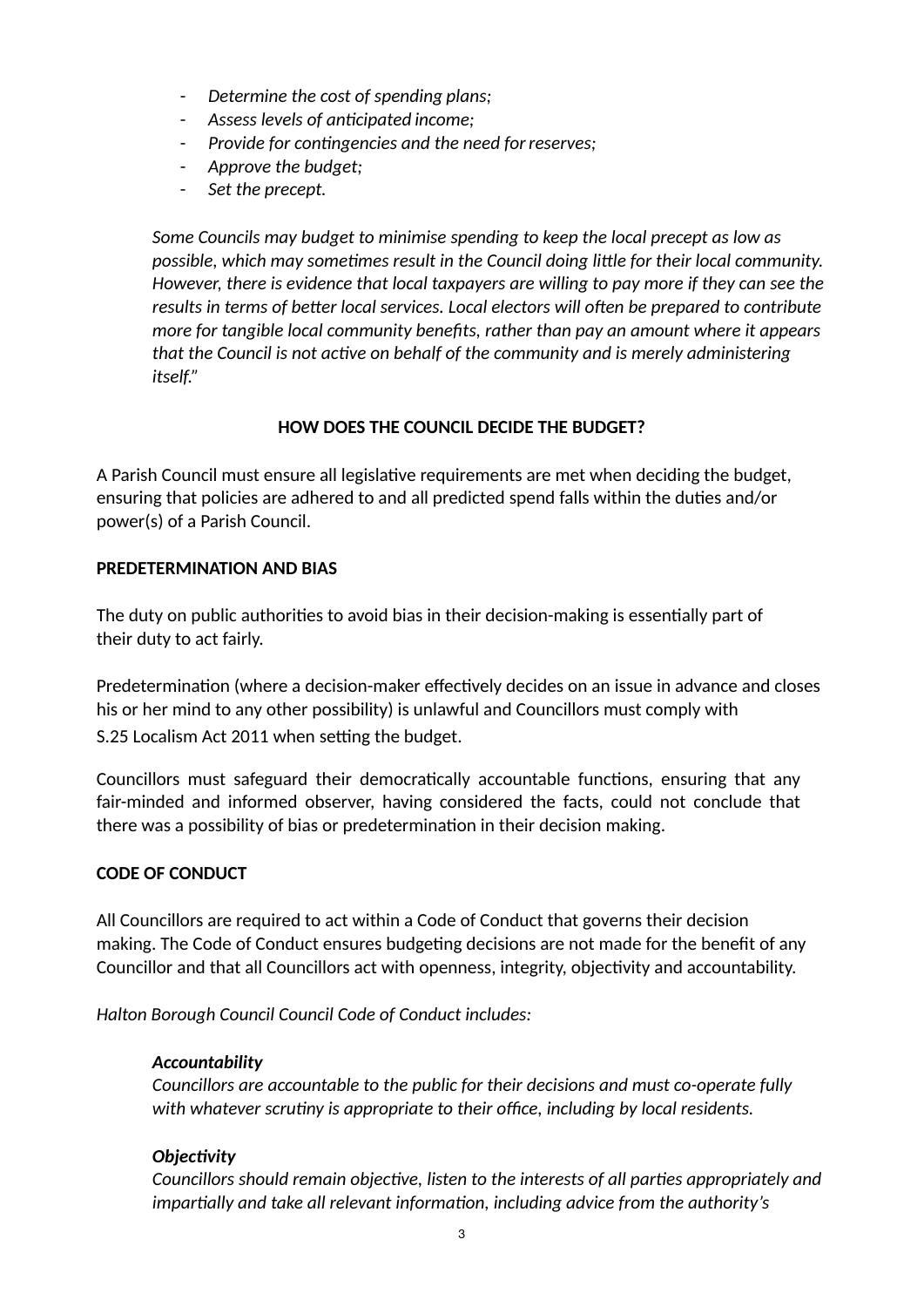- *Determine the cost of spending plans;*
- $A$ *ssess levels of anticipated income;*
- Provide for contingencies and the need for reserves;
- *Approve the budget;*
- *Set the precept.*

*Some Councils may budget to minimise spending to keep the local precept as low as possible, which may sometimes result in the Council doing little for their local community. However, there is evidence that local taxpayers are willing to pay more if they can see the*  results in terms of better local services. Local electors will often be prepared to contribute *more for tangible local community benefits, rather than pay an amount where it appears*  that the Council is not active on behalf of the community and is merely administering *itself."* 

## **HOW DOES THE COUNCIL DECIDE THE BUDGET?**

A Parish Council must ensure all legisla7ve requirements are met when deciding the budget, ensuring that policies are adhered to and all predicted spend falls within the duties and/or power(s) of a Parish Council.

## **PREDETERMINATION AND BIAS**

The duty on public authorities to avoid bias in their decision-making is essentially part of their duty to act fairly.

Predetermination (where a decision-maker effectively decides on an issue in advance and closes his or her mind to any other possibility) is unlawful and Councillors must comply with S.25 Localism Act 2011 when setting the budget.

Councillors must safeguard their democratically accountable functions, ensuring that any fair-minded and informed observer, having considered the facts, could not conclude that there was a possibility of bias or predetermination in their decision making.

#### **CODE OF CONDUCT**

All Councillors are required to act within a Code of Conduct that governs their decision making. The Code of Conduct ensures budgeting decisions are not made for the benefit of any Councillor and that all Councillors act with openness, integrity, objectivity and accountability.

*Halton Borough Council Council Code of Conduct includes:* 

#### *Accountability*

*Councillors are accountable to the public for their decisions and must co-operate fully*  with whatever scrutiny is appropriate to their office, including by local residents.

## **Objectivity**

*Councillors should remain objective, listen to the interests of all parties appropriately and impartially and take all relevant information, including advice from the authority's*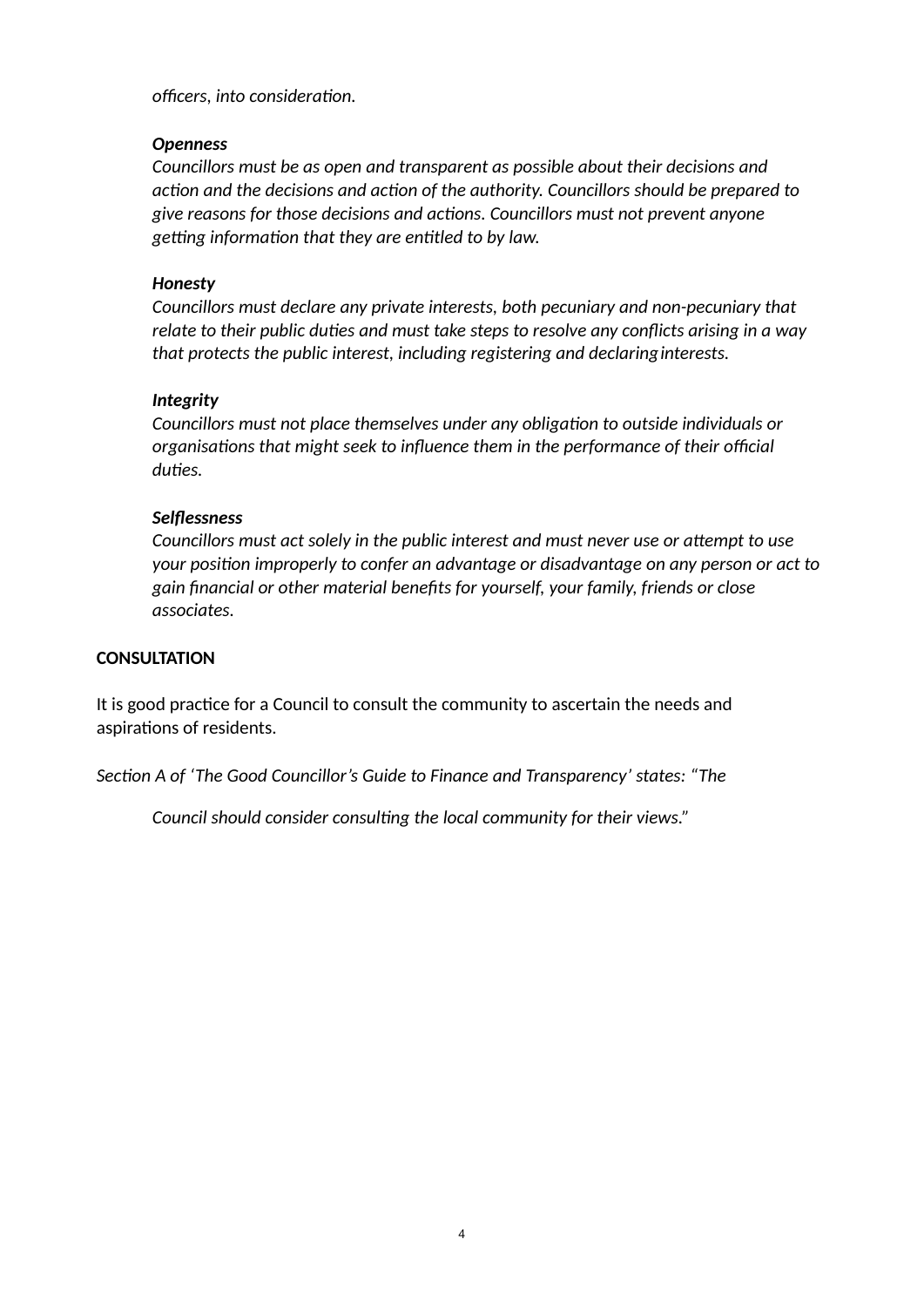*officers, into considera%on.* 

#### *Openness*

*Councillors must be as open and transparent as possible about their decisions and*  action and the decisions and action of the authority. Councillors should be prepared to *give reasons for those decisions and ac%ons. Councillors must not prevent anyone*  getting information that they are entitled to by law.

## *Honesty*

*Councillors must declare any private interests, both pecuniary and non-pecuniary that*  relate to their public duties and must take steps to resolve any conflicts arising in a way *that protects the public interest, including registering and declaringinterests.* 

## *Integrity*

*Councillors must not place themselves under any obligation to outside individuals or organisa%ons that might seek to influence them in the performance of their official*  duties.

## *Selflessness*

*Councillors must act solely in the public interest and must never use or attempt to use your posi%on improperly to confer an advantage or disadvantage on any person or act to gain financial or other material benefits for yourself, your family, friends or close associates.* 

#### **CONSULTATION**

It is good practice for a Council to consult the community to ascertain the needs and aspirations of residents.

Section A of 'The Good Councillor's Guide to Finance and Transparency' states: "The

Council should consider consulting the local community for their views."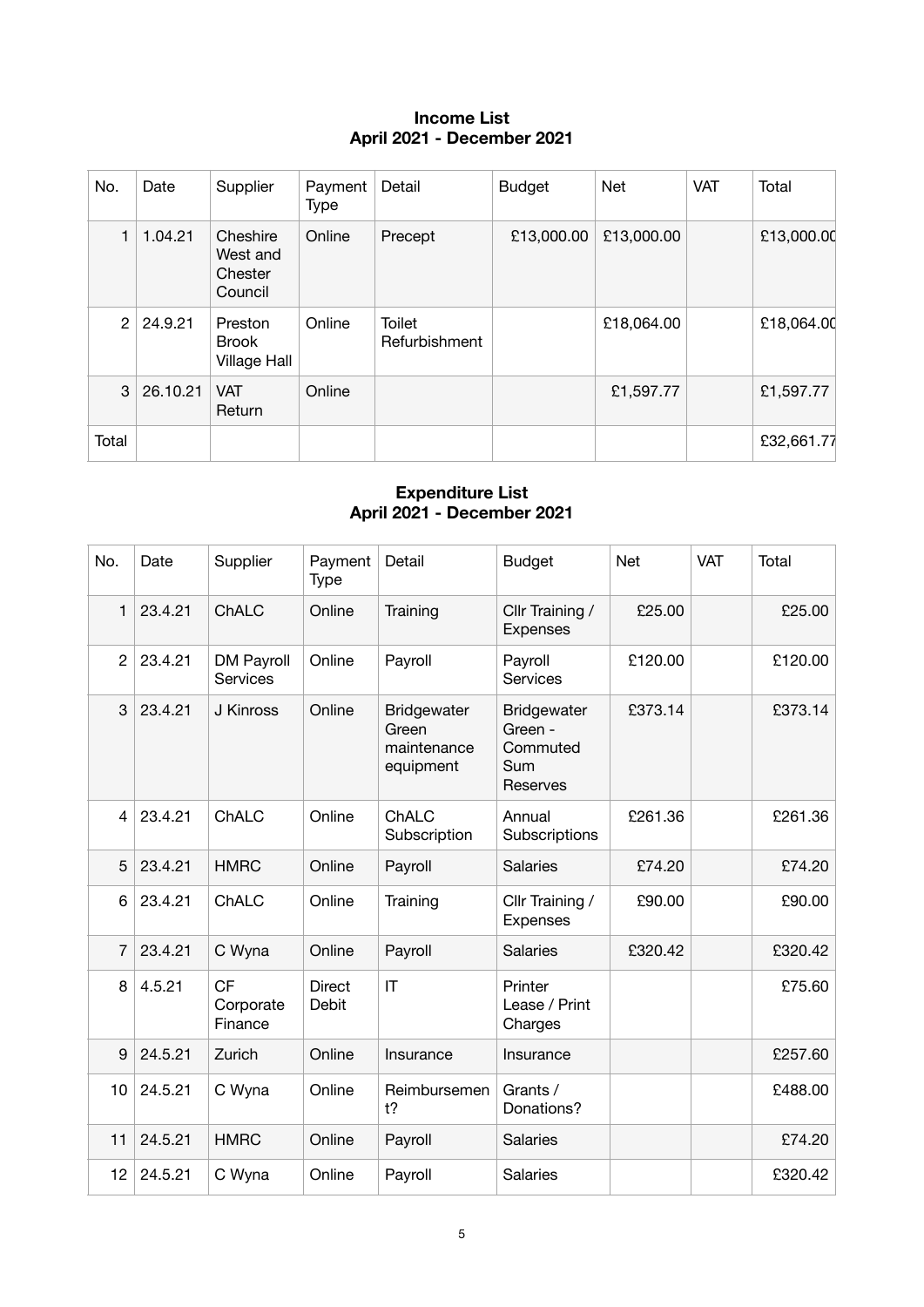## **Income List April 2021 - December 2021**

| No.   | Date     | Supplier                                       | Payment<br><b>Type</b> | Detail                         | <b>Budget</b> | Net        | <b>VAT</b> | Total      |
|-------|----------|------------------------------------------------|------------------------|--------------------------------|---------------|------------|------------|------------|
| 1     | 1.04.21  | Cheshire<br>West and<br>Chester<br>Council     | Online                 | Precept                        | £13,000.00    | £13,000.00 |            | £13,000.00 |
| 2     | 24.9.21  | Preston<br><b>Brook</b><br><b>Village Hall</b> | Online                 | <b>Toilet</b><br>Refurbishment |               | £18,064.00 |            | £18,064.00 |
| 3     | 26.10.21 | <b>VAT</b><br>Return                           | Online                 |                                |               | £1,597.77  |            | £1,597.77  |
| Total |          |                                                |                        |                                |               |            |            | £32,661.77 |

#### **Expenditure List April 2021 - December 2021**

| No.            | Date    | Supplier                             | Payment<br><b>Type</b> | Detail                                                  | <b>Budget</b>                                                | <b>Net</b> | <b>VAT</b> | Total   |
|----------------|---------|--------------------------------------|------------------------|---------------------------------------------------------|--------------------------------------------------------------|------------|------------|---------|
| 1              | 23.4.21 | ChALC                                | Online                 | Training                                                | Cllr Training /<br>Expenses                                  | £25.00     |            | £25.00  |
| $\overline{2}$ | 23.4.21 | <b>DM Payroll</b><br><b>Services</b> | Online                 | Payroll                                                 | Payroll<br>Services                                          | £120.00    |            | £120.00 |
| 3              | 23.4.21 | J Kinross                            | Online                 | <b>Bridgewater</b><br>Green<br>maintenance<br>equipment | <b>Bridgewater</b><br>Green -<br>Commuted<br>Sum<br>Reserves | £373.14    |            | £373.14 |
| 4              | 23.4.21 | ChALC                                | Online                 | ChALC<br>Subscription                                   | Annual<br>Subscriptions                                      | £261.36    |            | £261.36 |
| 5              | 23.4.21 | <b>HMRC</b>                          | Online                 | Payroll                                                 | <b>Salaries</b>                                              | £74.20     |            | £74.20  |
| 6              | 23.4.21 | ChALC                                | Online                 | Training                                                | Cllr Training /<br><b>Expenses</b>                           | £90.00     |            | £90.00  |
| 7              | 23.4.21 | C Wyna                               | Online                 | Payroll                                                 | <b>Salaries</b>                                              | £320.42    |            | £320.42 |
| 8              | 4.5.21  | <b>CF</b><br>Corporate<br>Finance    | <b>Direct</b><br>Debit | IT                                                      | Printer<br>Lease / Print<br>Charges                          |            |            | £75.60  |
| 9              | 24.5.21 | Zurich                               | Online                 | Insurance                                               | Insurance                                                    |            |            | £257.60 |
| 10             | 24.5.21 | C Wyna                               | Online                 | Reimbursemen<br>$t$ ?                                   | Grants /<br>Donations?                                       |            |            | £488.00 |
| 11             | 24.5.21 | <b>HMRC</b>                          | Online                 | Payroll                                                 | <b>Salaries</b>                                              |            |            | £74.20  |
| 12             | 24.5.21 | C Wyna                               | Online                 | Payroll                                                 | Salaries                                                     |            |            | £320.42 |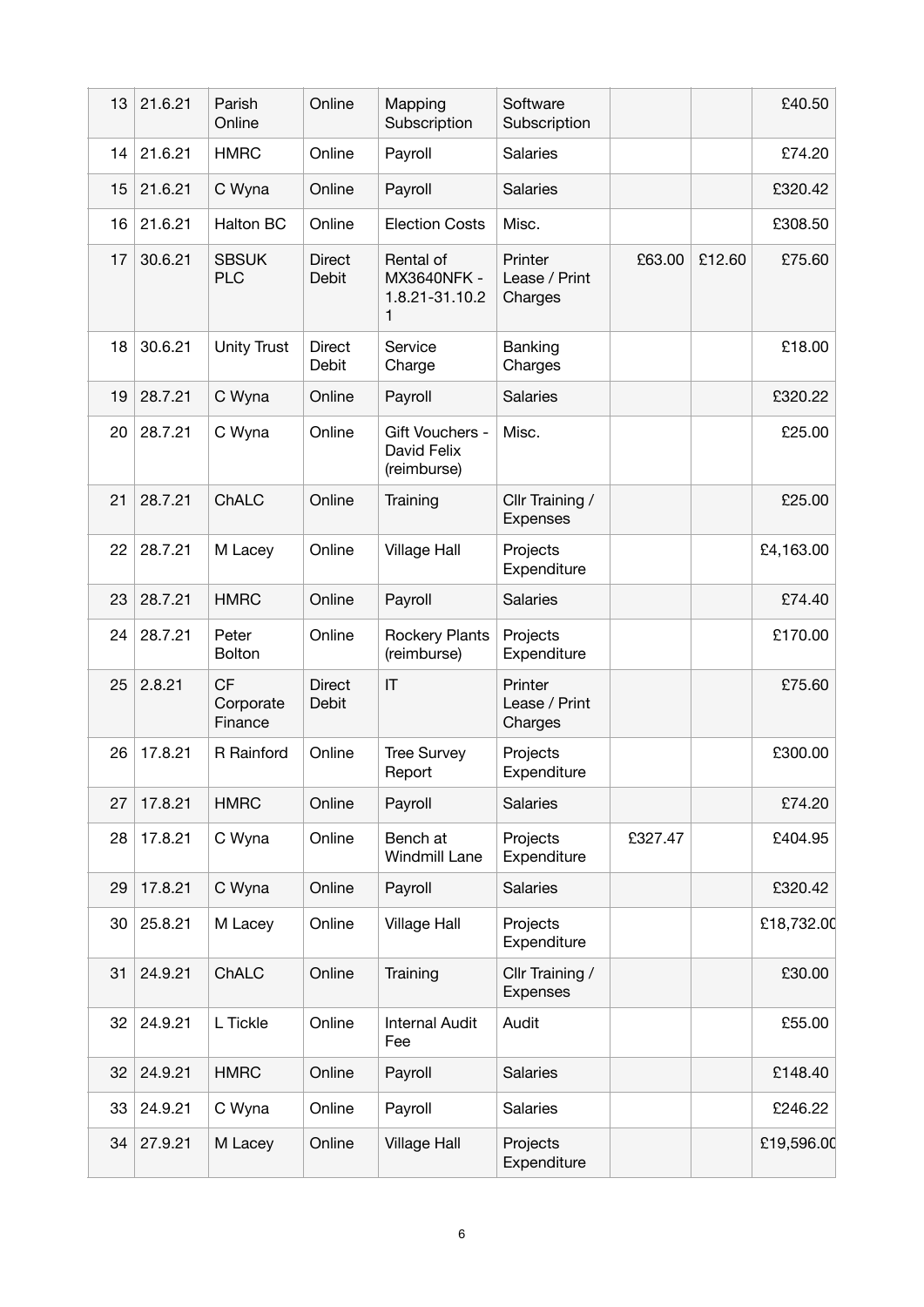| 13 | 21.6.21 | Parish<br>Online                  | Online                        | Mapping<br>Subscription                         | Software<br>Subscription            |         |        | £40.50     |
|----|---------|-----------------------------------|-------------------------------|-------------------------------------------------|-------------------------------------|---------|--------|------------|
| 14 | 21.6.21 | <b>HMRC</b>                       | Online                        | Payroll                                         | Salaries                            |         |        | £74.20     |
| 15 | 21.6.21 | C Wyna                            | Online                        | Payroll                                         | Salaries                            |         |        | £320.42    |
| 16 | 21.6.21 | Halton BC                         | Online                        | <b>Election Costs</b>                           | Misc.                               |         |        | £308.50    |
| 17 | 30.6.21 | <b>SBSUK</b><br><b>PLC</b>        | <b>Direct</b><br><b>Debit</b> | Rental of<br>MX3640NFK -<br>1.8.21-31.10.2<br>1 | Printer<br>Lease / Print<br>Charges | £63.00  | £12.60 | £75.60     |
| 18 | 30.6.21 | <b>Unity Trust</b>                | <b>Direct</b><br>Debit        | Service<br>Charge                               | Banking<br>Charges                  |         |        | £18.00     |
| 19 | 28.7.21 | C Wyna                            | Online                        | Payroll                                         | <b>Salaries</b>                     |         |        | £320.22    |
| 20 | 28.7.21 | C Wyna                            | Online                        | Gift Vouchers -<br>David Felix<br>(reimburse)   | Misc.                               |         |        | £25.00     |
| 21 | 28.7.21 | ChALC                             | Online                        | Training                                        | Cllr Training /<br><b>Expenses</b>  |         |        | £25.00     |
| 22 | 28.7.21 | M Lacey                           | Online                        | <b>Village Hall</b>                             | Projects<br>Expenditure             |         |        | £4,163.00  |
| 23 | 28.7.21 | <b>HMRC</b>                       | Online                        | Payroll                                         | <b>Salaries</b>                     |         |        | £74.40     |
| 24 | 28.7.21 | Peter<br><b>Bolton</b>            | Online                        | <b>Rockery Plants</b><br>(reimburse)            | Projects<br>Expenditure             |         |        | £170.00    |
| 25 | 2.8.21  | <b>CF</b><br>Corporate<br>Finance | <b>Direct</b><br>Debit        | IT                                              | Printer<br>Lease / Print<br>Charges |         |        | £75.60     |
| 26 | 17.8.21 | R Rainford                        | Online                        | <b>Tree Survey</b><br>Report                    | Projects<br>Expenditure             |         |        | £300.00    |
| 27 | 17.8.21 | <b>HMRC</b>                       | Online                        | Payroll                                         | <b>Salaries</b>                     |         |        | £74.20     |
| 28 | 17.8.21 | C Wyna                            | Online                        | Bench at<br><b>Windmill Lane</b>                | Projects<br>Expenditure             | £327.47 |        | £404.95    |
| 29 | 17.8.21 | C Wyna                            | Online                        | Payroll                                         | <b>Salaries</b>                     |         |        | £320.42    |
| 30 | 25.8.21 | M Lacey                           | Online                        | <b>Village Hall</b>                             | Projects<br>Expenditure             |         |        | £18,732.00 |
| 31 | 24.9.21 | ChALC                             | Online                        | Training                                        | Cllr Training /<br>Expenses         |         |        | £30.00     |
| 32 | 24.9.21 | L Tickle                          | Online                        | <b>Internal Audit</b><br>Fee                    | Audit                               |         |        | £55.00     |
| 32 | 24.9.21 | <b>HMRC</b>                       | Online                        | Payroll                                         | <b>Salaries</b>                     |         |        | £148.40    |
| 33 | 24.9.21 | C Wyna                            | Online                        | Payroll                                         | Salaries                            |         |        | £246.22    |
| 34 | 27.9.21 | M Lacey                           | Online                        | <b>Village Hall</b>                             | Projects<br>Expenditure             |         |        | £19,596.00 |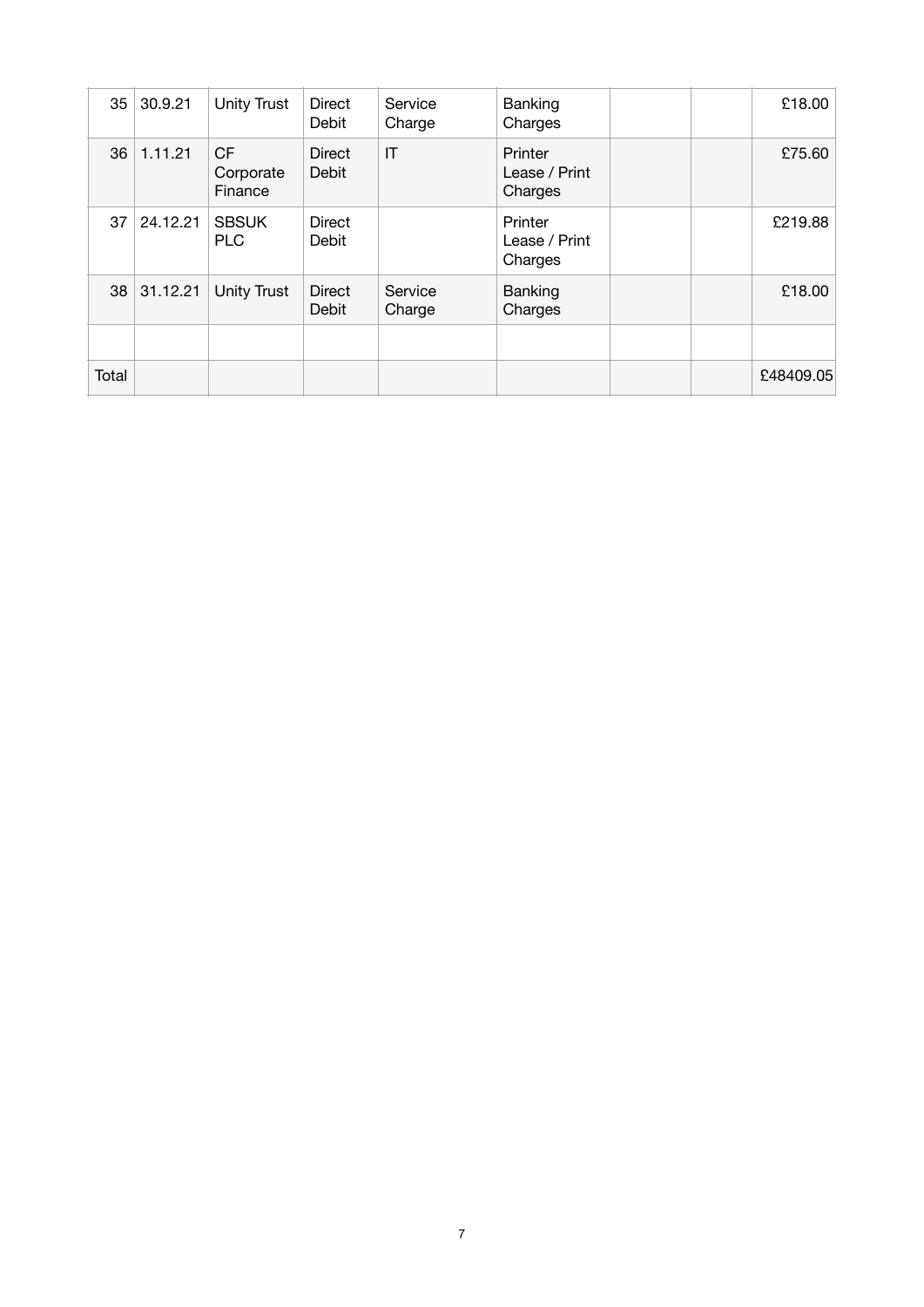| 35    | 30.9.21  | <b>Unity Trust</b>          | Direct<br>Debit        | Service<br>Charge | Banking<br>Charges                  | £18.00    |
|-------|----------|-----------------------------|------------------------|-------------------|-------------------------------------|-----------|
| 36    | 1.11.21  | CF.<br>Corporate<br>Finance | <b>Direct</b><br>Debit | IT                | Printer<br>Lease / Print<br>Charges | £75.60    |
| 37    | 24.12.21 | <b>SBSUK</b><br><b>PLC</b>  | <b>Direct</b><br>Debit |                   | Printer<br>Lease / Print<br>Charges | £219.88   |
| 38    | 31.12.21 | <b>Unity Trust</b>          | <b>Direct</b><br>Debit | Service<br>Charge | Banking<br>Charges                  | £18.00    |
|       |          |                             |                        |                   |                                     |           |
| Total |          |                             |                        |                   |                                     | £48409.05 |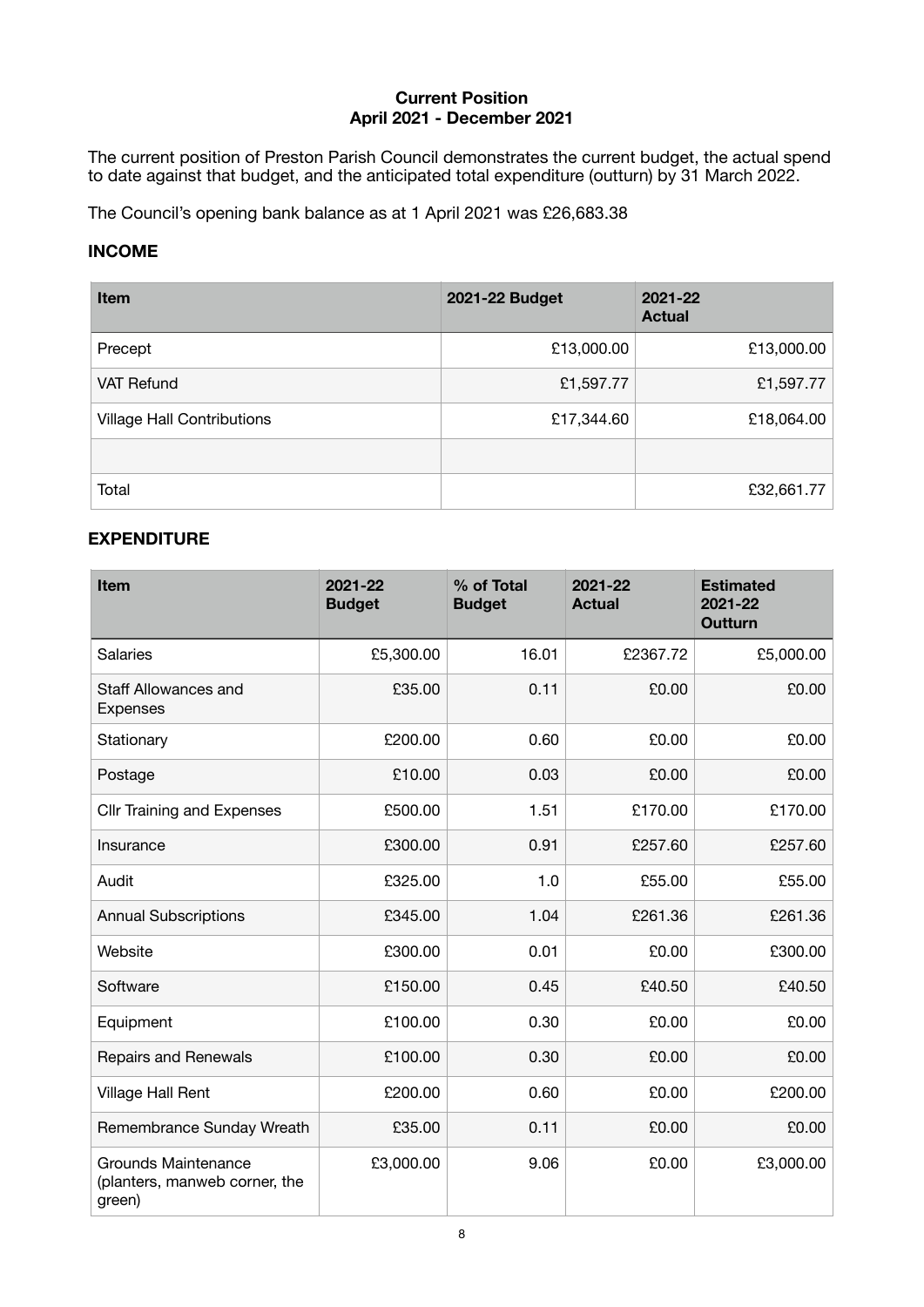#### **Current Position April 2021 - December 2021**

The current position of Preston Parish Council demonstrates the current budget, the actual spend to date against that budget, and the anticipated total expenditure (outturn) by 31 March 2022.

The Council's opening bank balance as at 1 April 2021 was £26,683.38

#### **INCOME**

| <b>Item</b>                       | 2021-22 Budget | 2021-22<br><b>Actual</b> |
|-----------------------------------|----------------|--------------------------|
| Precept                           | £13,000.00     | £13,000.00               |
| VAT Refund                        | £1,597.77      | £1,597.77                |
| <b>Village Hall Contributions</b> | £17,344.60     | £18,064.00               |
|                                   |                |                          |
| Total                             |                | £32,661.77               |

## **EXPENDITURE**

| <b>Item</b>                                                           | 2021-22<br><b>Budget</b> | % of Total<br><b>Budget</b> | 2021-22<br><b>Actual</b> | <b>Estimated</b><br>2021-22<br><b>Outturn</b> |
|-----------------------------------------------------------------------|--------------------------|-----------------------------|--------------------------|-----------------------------------------------|
| <b>Salaries</b>                                                       | £5,300.00                | 16.01                       | £2367.72                 | £5,000.00                                     |
| Staff Allowances and<br><b>Expenses</b>                               | £35.00                   | 0.11                        | £0.00                    | £0.00                                         |
| Stationary                                                            | £200.00                  | 0.60                        | £0.00                    | £0.00                                         |
| Postage                                                               | £10.00                   | 0.03                        | £0.00                    | £0.00                                         |
| <b>Cllr Training and Expenses</b>                                     | £500.00                  | 1.51                        | £170.00                  | £170.00                                       |
| Insurance                                                             | £300.00                  | 0.91                        | £257.60                  | £257.60                                       |
| Audit                                                                 | £325.00                  | 1.0                         | £55.00                   | £55.00                                        |
| <b>Annual Subscriptions</b>                                           | £345.00                  | 1.04                        | £261.36                  | £261.36                                       |
| Website                                                               | £300.00                  | 0.01                        | £0.00                    | £300.00                                       |
| Software                                                              | £150.00                  | 0.45                        | £40.50                   | £40.50                                        |
| Equipment                                                             | £100.00                  | 0.30                        | £0.00                    | £0.00                                         |
| <b>Repairs and Renewals</b>                                           | £100.00                  | 0.30                        | £0.00                    | £0.00                                         |
| Village Hall Rent                                                     | £200.00                  | 0.60                        | £0.00                    | £200.00                                       |
| Remembrance Sunday Wreath                                             | £35.00                   | 0.11                        | £0.00                    | £0.00                                         |
| <b>Grounds Maintenance</b><br>(planters, manweb corner, the<br>green) | £3,000.00                | 9.06                        | £0.00                    | £3,000.00                                     |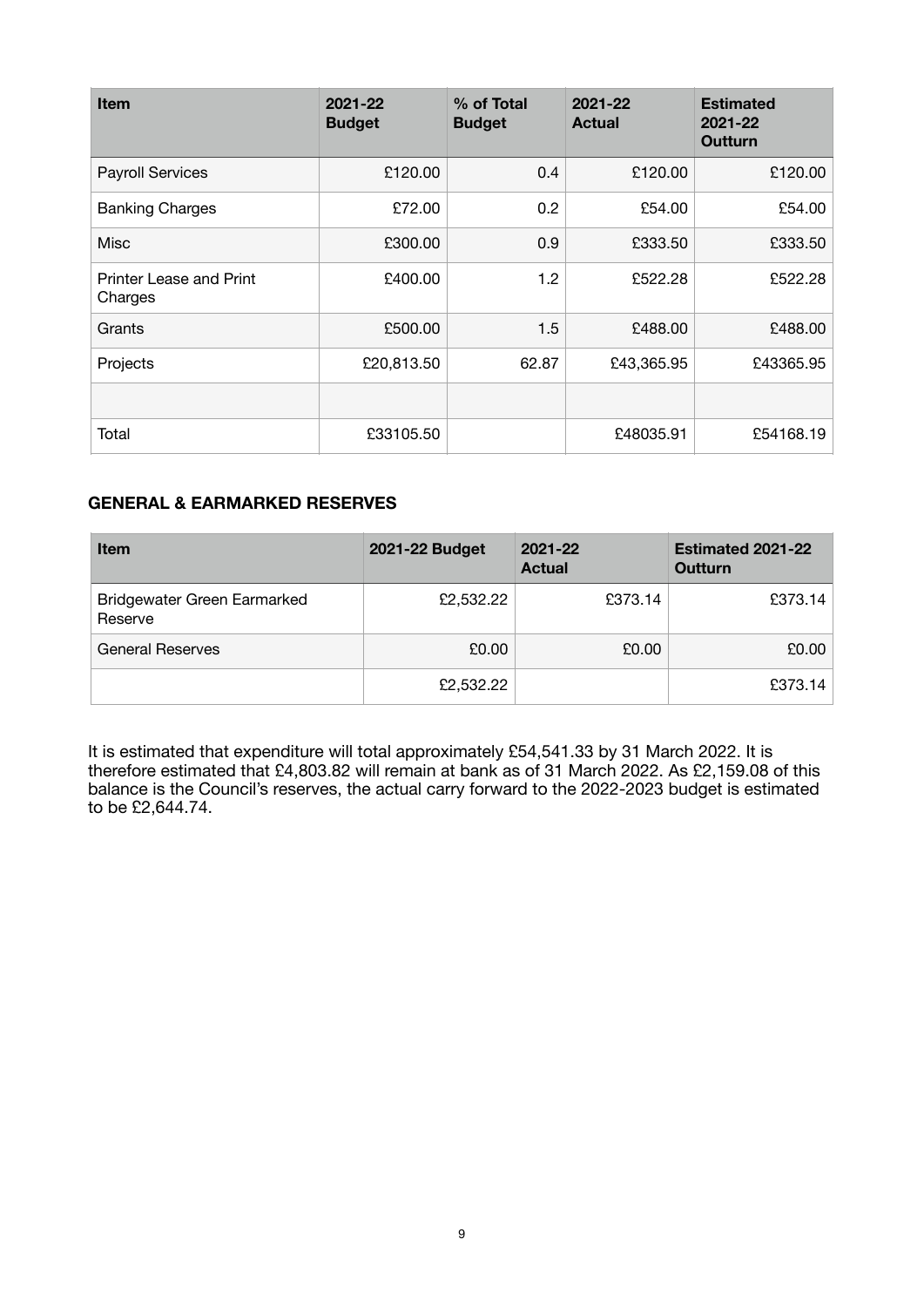| <b>Item</b>                        | 2021-22<br><b>Budget</b> | % of Total<br><b>Budget</b> | 2021-22<br><b>Actual</b> | <b>Estimated</b><br>2021-22<br>Outturn |
|------------------------------------|--------------------------|-----------------------------|--------------------------|----------------------------------------|
| <b>Payroll Services</b>            | £120.00                  | 0.4                         | £120.00                  | £120.00                                |
| <b>Banking Charges</b>             | £72.00                   | 0.2                         | £54.00                   | £54.00                                 |
| <b>Misc</b>                        | £300.00                  | 0.9                         | £333.50                  | £333.50                                |
| Printer Lease and Print<br>Charges | £400.00                  | 1.2                         | £522.28                  | £522.28                                |
| Grants                             | £500.00                  | 1.5                         | £488.00                  | £488.00                                |
| Projects                           | £20,813.50               | 62.87                       | £43,365.95               | £43365.95                              |
|                                    |                          |                             |                          |                                        |
| Total                              | £33105.50                |                             | £48035.91                | £54168.19                              |

## **GENERAL & EARMARKED RESERVES**

| <b>Item</b>                            | <b>2021-22 Budget</b> | 2021-22<br><b>Actual</b> | <b>Estimated 2021-22</b><br><b>Outturn</b> |
|----------------------------------------|-----------------------|--------------------------|--------------------------------------------|
| Bridgewater Green Earmarked<br>Reserve | £2,532.22             | £373.14                  | £373.14                                    |
| <b>General Reserves</b>                | £0.00                 | £0.00                    | £0.00                                      |
|                                        | £2,532.22             |                          | £373.14                                    |

It is estimated that expenditure will total approximately £54,541.33 by 31 March 2022. It is therefore estimated that £4,803.82 will remain at bank as of 31 March 2022. As £2,159.08 of this balance is the Council's reserves, the actual carry forward to the 2022-2023 budget is estimated to be £2,644.74.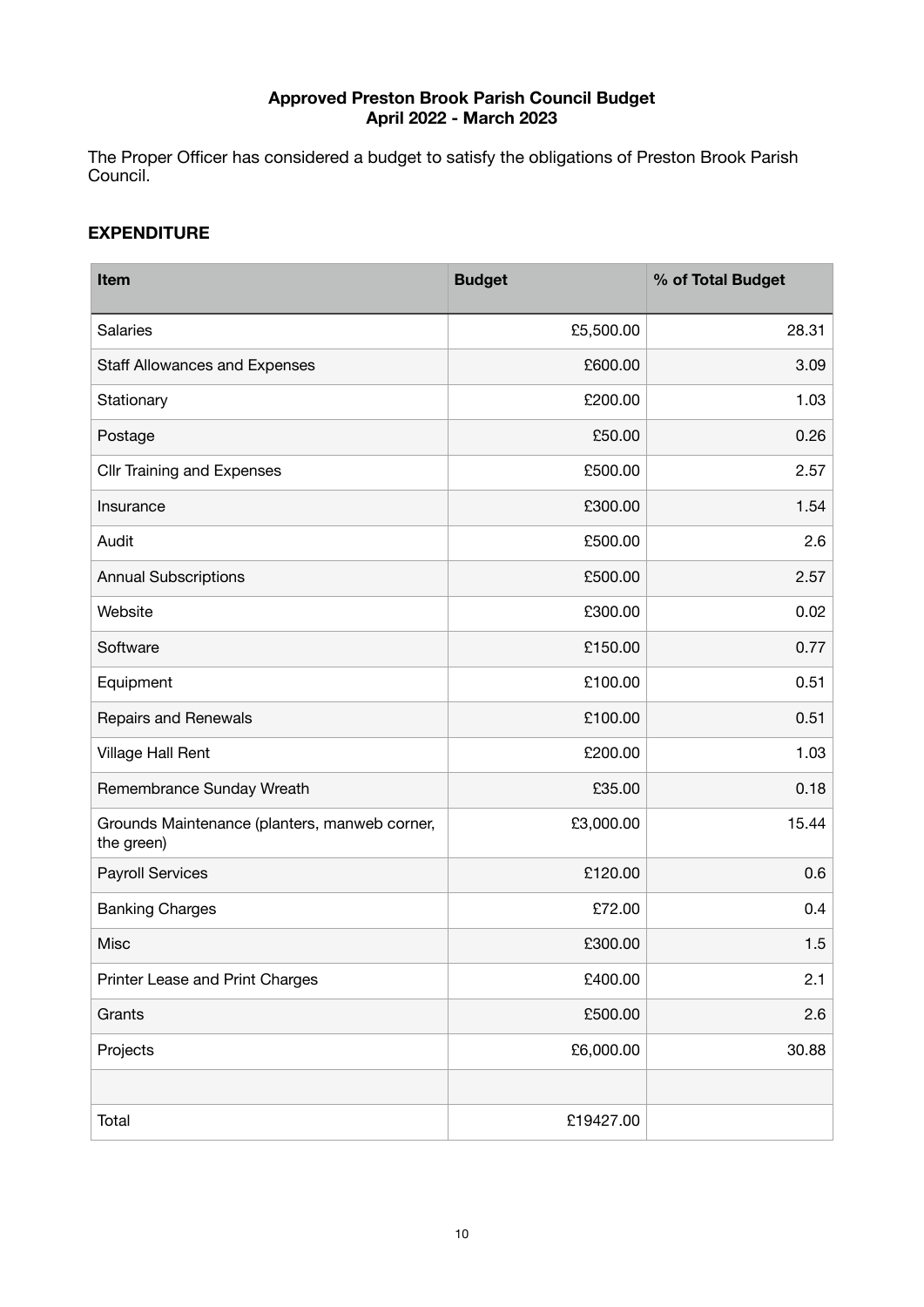## **Approved Preston Brook Parish Council Budget April 2022 - March 2023**

The Proper Officer has considered a budget to satisfy the obligations of Preston Brook Parish Council.

#### **EXPENDITURE**

| Item                                                        | <b>Budget</b> | % of Total Budget |
|-------------------------------------------------------------|---------------|-------------------|
| <b>Salaries</b>                                             | £5,500.00     | 28.31             |
| Staff Allowances and Expenses                               | £600.00       | 3.09              |
| Stationary                                                  | £200.00       | 1.03              |
| Postage                                                     | £50.00        | 0.26              |
| <b>Cllr Training and Expenses</b>                           | £500.00       | 2.57              |
| Insurance                                                   | £300.00       | 1.54              |
| Audit                                                       | £500.00       | 2.6               |
| <b>Annual Subscriptions</b>                                 | £500.00       | 2.57              |
| Website                                                     | £300.00       | 0.02              |
| Software                                                    | £150.00       | 0.77              |
| Equipment                                                   | £100.00       | 0.51              |
| Repairs and Renewals                                        | £100.00       | 0.51              |
| Village Hall Rent                                           | £200.00       | 1.03              |
| Remembrance Sunday Wreath                                   | £35.00        | 0.18              |
| Grounds Maintenance (planters, manweb corner,<br>the green) | £3,000.00     | 15.44             |
| <b>Payroll Services</b>                                     | £120.00       | 0.6               |
| <b>Banking Charges</b>                                      | £72.00        | 0.4               |
| Misc                                                        | £300.00       | 1.5               |
| Printer Lease and Print Charges                             | £400.00       | 2.1               |
| Grants                                                      | £500.00       | 2.6               |
| Projects                                                    | £6,000.00     | 30.88             |
|                                                             |               |                   |
| Total                                                       | £19427.00     |                   |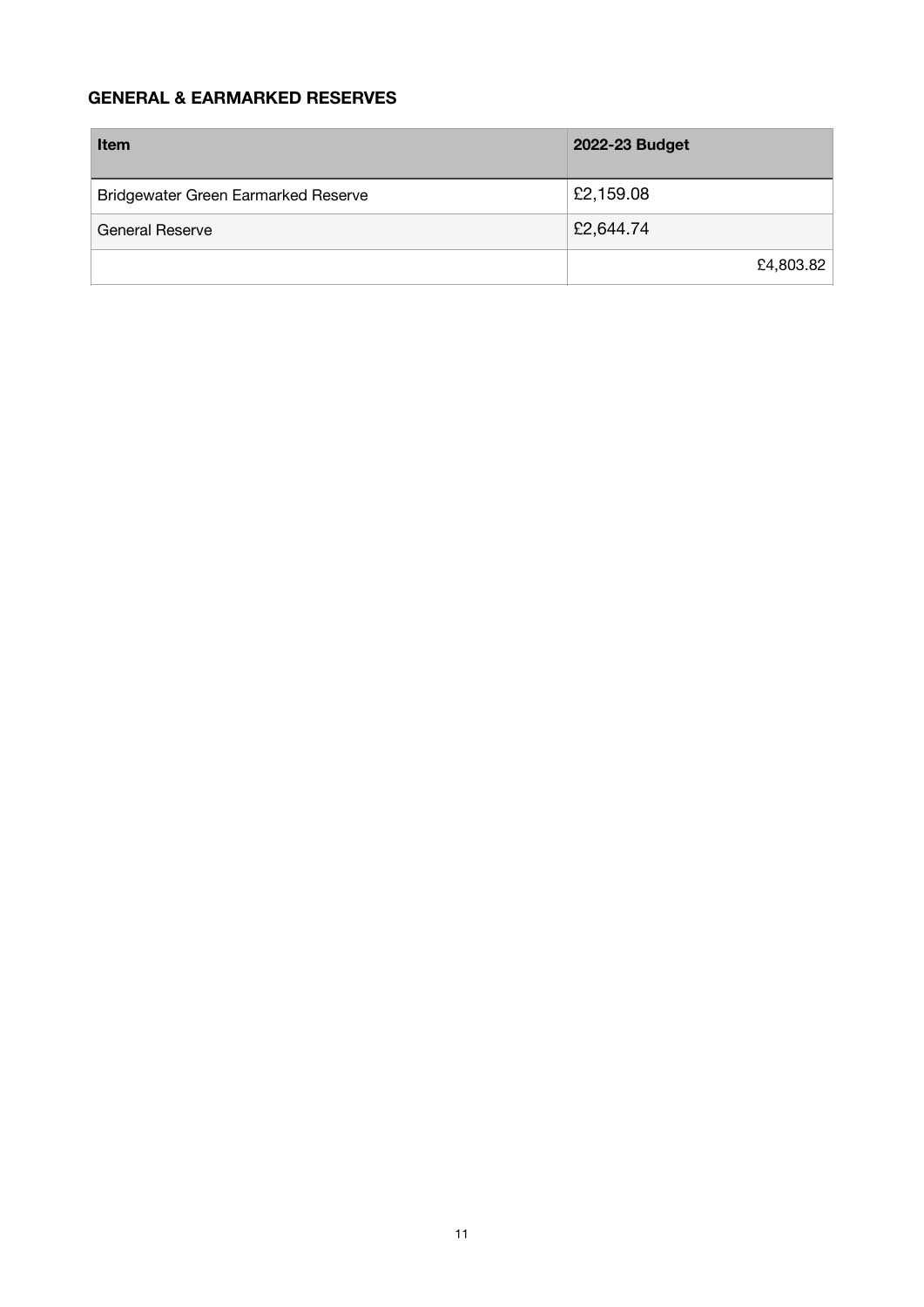## **GENERAL & EARMARKED RESERVES**

| <b>Item</b>                         | 2022-23 Budget |
|-------------------------------------|----------------|
| Bridgewater Green Earmarked Reserve | £2,159.08      |
| <b>General Reserve</b>              | £2,644.74      |
|                                     | £4,803.82      |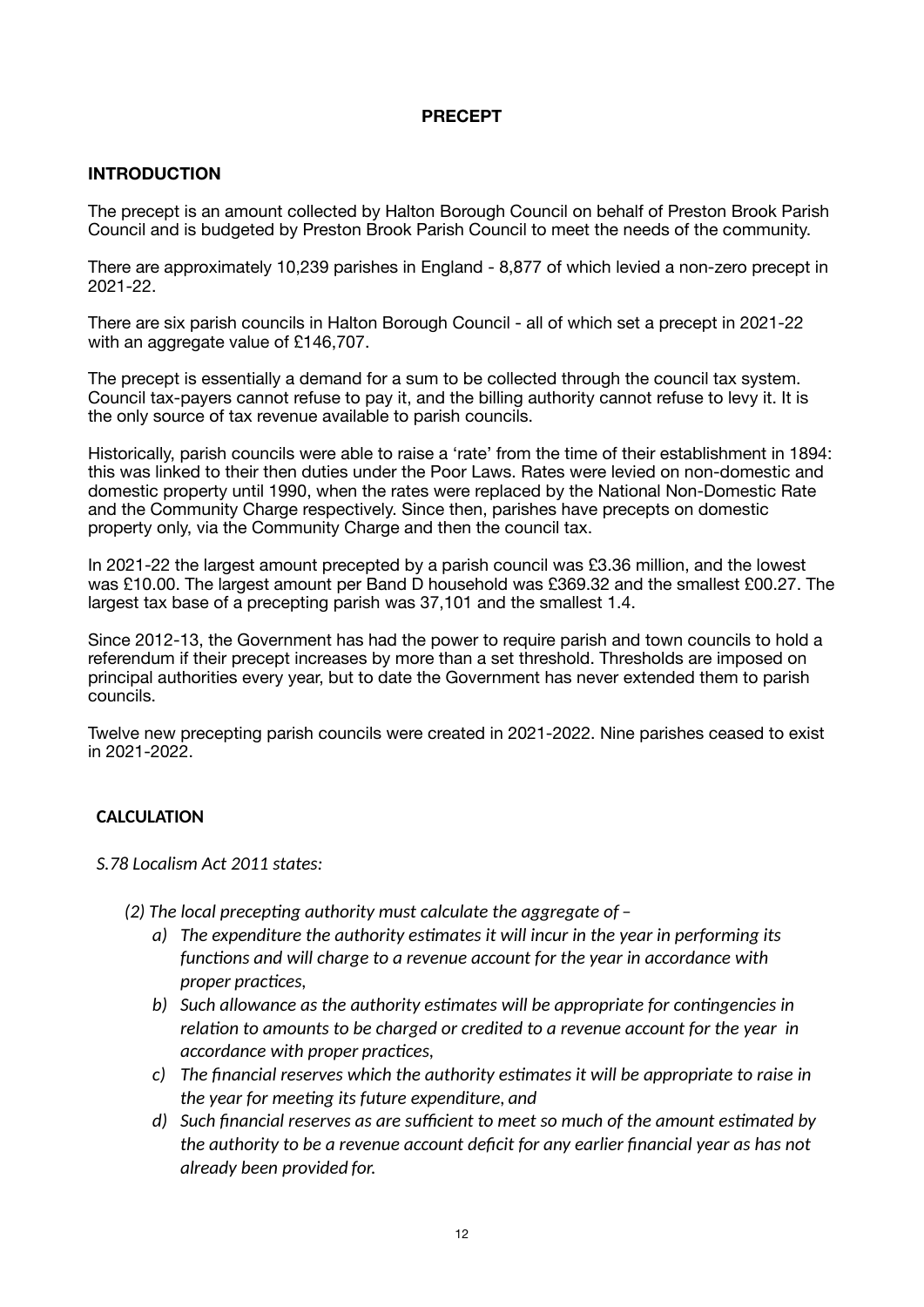#### **PRECEPT**

## **INTRODUCTION**

The precept is an amount collected by Halton Borough Council on behalf of Preston Brook Parish Council and is budgeted by Preston Brook Parish Council to meet the needs of the community.

There are approximately 10,239 parishes in England - 8,877 of which levied a non-zero precept in 2021-22.

There are six parish councils in Halton Borough Council - all of which set a precept in 2021-22 with an aggregate value of £146,707.

The precept is essentially a demand for a sum to be collected through the council tax system. Council tax-payers cannot refuse to pay it, and the billing authority cannot refuse to levy it. It is the only source of tax revenue available to parish councils.

Historically, parish councils were able to raise a 'rate' from the time of their establishment in 1894: this was linked to their then duties under the Poor Laws. Rates were levied on non-domestic and domestic property until 1990, when the rates were replaced by the National Non-Domestic Rate and the Community Charge respectively. Since then, parishes have precepts on domestic property only, via the Community Charge and then the council tax.

In 2021-22 the largest amount precepted by a parish council was £3.36 million, and the lowest was £10.00. The largest amount per Band D household was £369.32 and the smallest £00.27. The largest tax base of a precepting parish was 37,101 and the smallest 1.4.

Since 2012-13, the Government has had the power to require parish and town councils to hold a referendum if their precept increases by more than a set threshold. Thresholds are imposed on principal authorities every year, but to date the Government has never extended them to parish councils.

Twelve new precepting parish councils were created in 2021-2022. Nine parishes ceased to exist in 2021-2022.

## **CALCULATION**

*S.78 Localism Act 2011 states:* 

- *(2) The local precep%ng authority must calculate the aggregate of* 
	- *a*) The expenditure the authority estimates it will incur in the year in performing its functions and will charge to a revenue account for the year in accordance with  $proper$  *proper practices*,
	- b) Such allowance as the authority estimates will be appropriate for contingencies in relation to amounts to be charged or credited to a revenue account for the year in *accordance with proper practices,*
	- *c*) The financial reserves which the authority estimates it will be appropriate to raise in *the year for meeting its future expenditure, and*
	- *d)* Such financial reserves as are sufficient to meet so much of the amount estimated by *the authority to be a revenue account deficit for any earlier financial year as has not already been provided for.*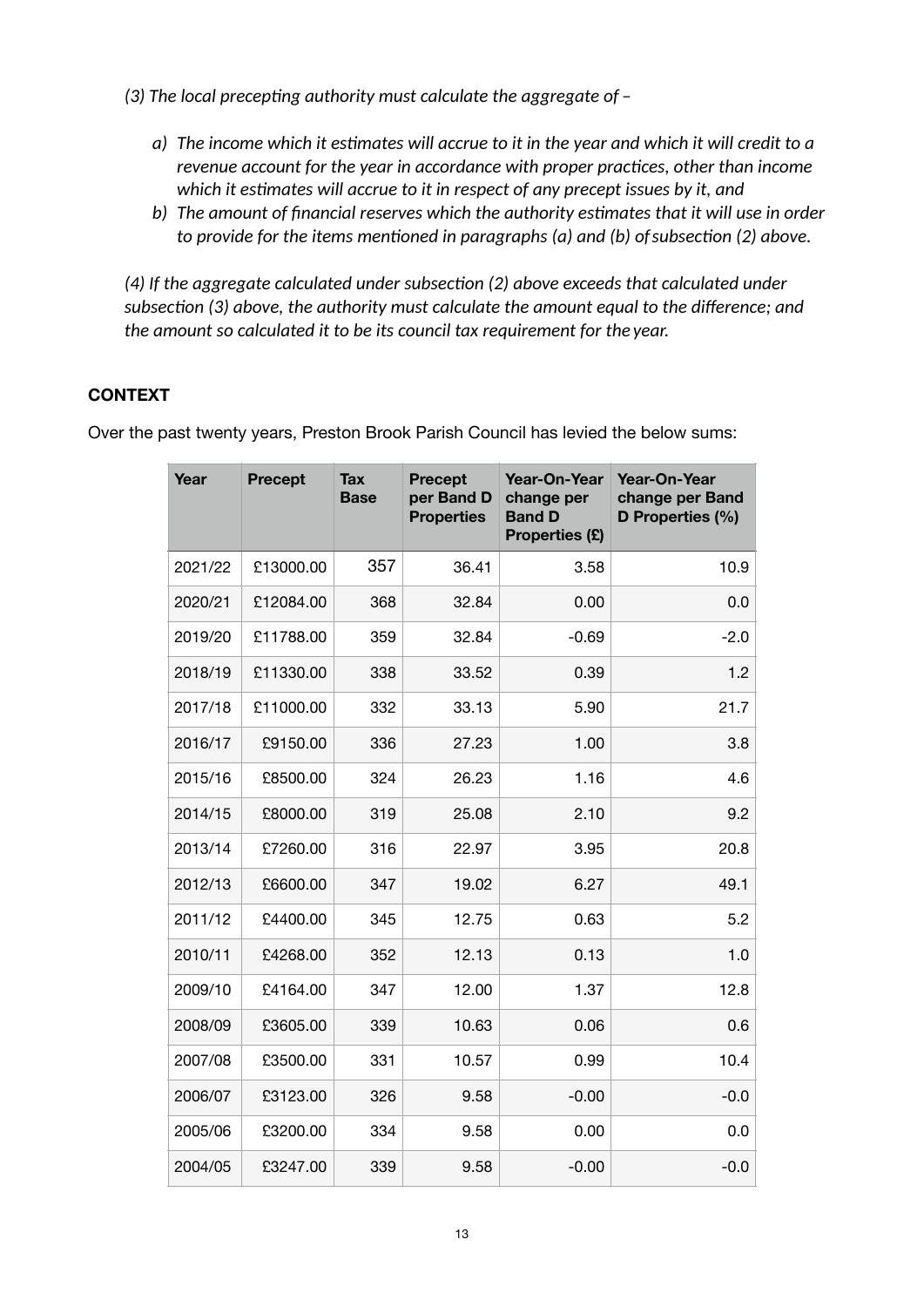- *(3)* The local precepting authority must calculate the aggregate of  $$ 
	- *a*) The income which it estimates will accrue to it in the year and which it will credit to a *revenue account for the year in accordance with proper practices, other than income* which it estimates will accrue to it in respect of any precept issues by it, and
	- b) The amount of financial reserves which the authority estimates that it will use in order *to provide for the items mentioned in paragraphs (a) and (b) of subsection (2) above.*

(4) If the aggregate calculated under subsection (2) above exceeds that calculated under subsection (3) above, the authority must calculate the amount equal to the difference; and *the amount so calculated it to be its council tax requirement for the year.* 

## **CONTEXT**

Over the past twenty years, Preston Brook Parish Council has levied the below sums:

| Year    | <b>Precept</b> | <b>Tax</b><br><b>Base</b> | <b>Precept</b><br>per Band D<br><b>Properties</b> | Year-On-Year<br>change per<br><b>Band D</b><br>Properties (£) | Year-On-Year<br>change per Band<br>D Properties (%) |
|---------|----------------|---------------------------|---------------------------------------------------|---------------------------------------------------------------|-----------------------------------------------------|
| 2021/22 | £13000.00      | 357                       | 36.41                                             | 3.58                                                          | 10.9                                                |
| 2020/21 | £12084.00      | 368                       | 32.84                                             | 0.00                                                          | 0.0                                                 |
| 2019/20 | £11788.00      | 359                       | 32.84                                             | $-0.69$                                                       | $-2.0$                                              |
| 2018/19 | £11330.00      | 338                       | 33.52                                             | 0.39                                                          | 1.2                                                 |
| 2017/18 | £11000.00      | 332                       | 33.13                                             | 5.90                                                          | 21.7                                                |
| 2016/17 | £9150.00       | 336                       | 27.23                                             | 1.00                                                          | 3.8                                                 |
| 2015/16 | £8500.00       | 324                       | 26.23                                             | 1.16                                                          | 4.6                                                 |
| 2014/15 | £8000.00       | 319                       | 25.08                                             | 2.10                                                          | 9.2                                                 |
| 2013/14 | £7260.00       | 316                       | 22.97                                             | 3.95                                                          | 20.8                                                |
| 2012/13 | £6600.00       | 347                       | 19.02                                             | 6.27                                                          | 49.1                                                |
| 2011/12 | £4400.00       | 345                       | 12.75                                             | 0.63                                                          | 5.2                                                 |
| 2010/11 | £4268.00       | 352                       | 12.13                                             | 0.13                                                          | 1.0                                                 |
| 2009/10 | £4164.00       | 347                       | 12.00                                             | 1.37                                                          | 12.8                                                |
| 2008/09 | £3605.00       | 339                       | 10.63                                             | 0.06                                                          | 0.6                                                 |
| 2007/08 | £3500.00       | 331                       | 10.57                                             | 0.99                                                          | 10.4                                                |
| 2006/07 | £3123.00       | 326                       | 9.58                                              | $-0.00$                                                       | $-0.0$                                              |
| 2005/06 | £3200.00       | 334                       | 9.58                                              | 0.00                                                          | 0.0                                                 |
| 2004/05 | £3247.00       | 339                       | 9.58                                              | $-0.00$                                                       | $-0.0$                                              |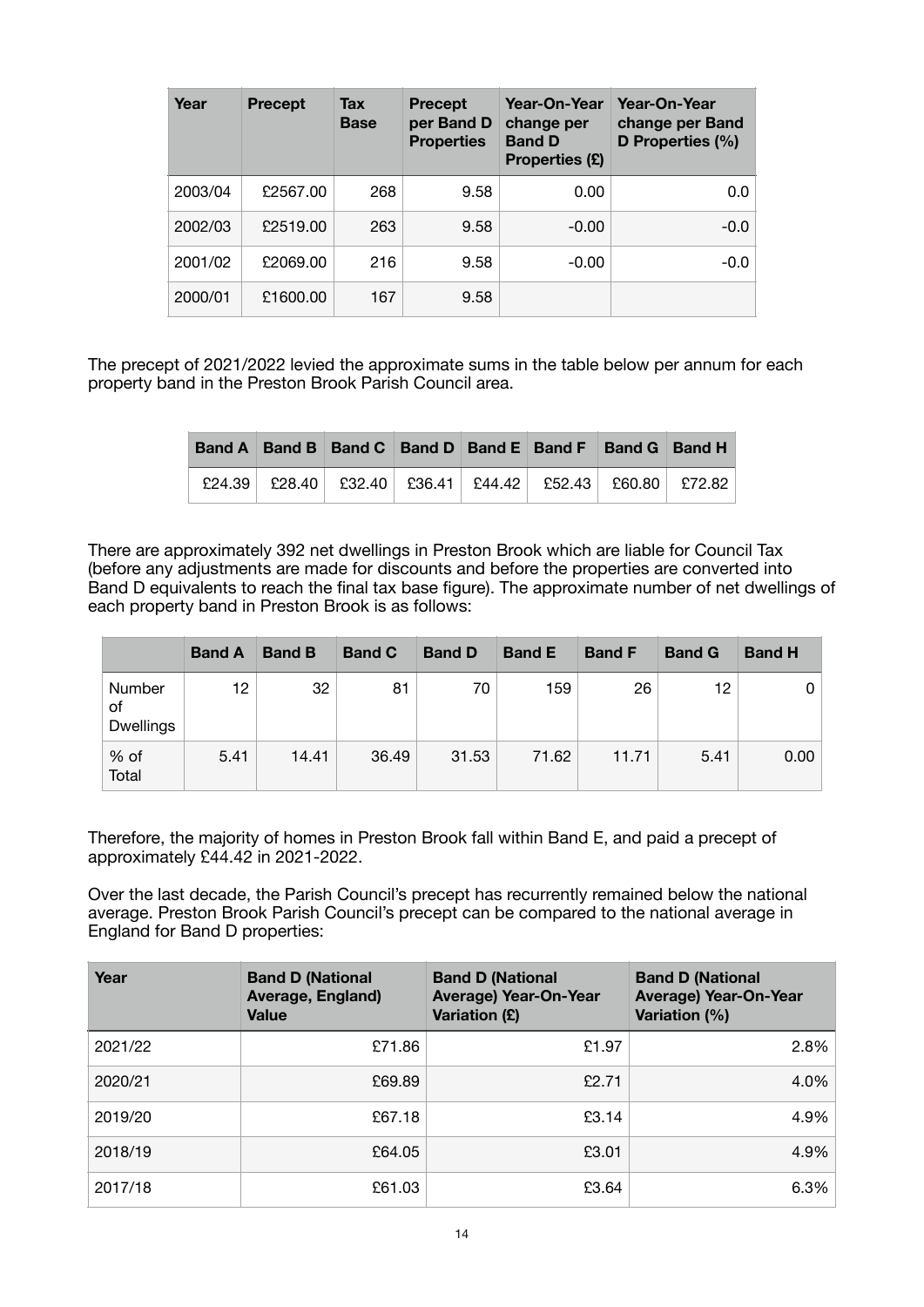| Year    | <b>Precept</b> | <b>Tax</b><br><b>Base</b> | <b>Precept</b><br>per Band D<br><b>Properties</b> | Year-On-Year<br>change per<br><b>Band D</b><br>Properties (£) | Year-On-Year<br>change per Band<br>D Properties (%) |
|---------|----------------|---------------------------|---------------------------------------------------|---------------------------------------------------------------|-----------------------------------------------------|
| 2003/04 | £2567.00       | 268                       | 9.58                                              | 0.00                                                          | 0.0                                                 |
| 2002/03 | £2519.00       | 263                       | 9.58                                              | $-0.00$                                                       | $-0.0$                                              |
| 2001/02 | £2069.00       | 216                       | 9.58                                              | $-0.00$                                                       | $-0.0$                                              |
| 2000/01 | £1600.00       | 167                       | 9.58                                              |                                                               |                                                     |

The precept of 2021/2022 levied the approximate sums in the table below per annum for each property band in the Preston Brook Parish Council area.

|  |  | Band A Band B Band C Band D Band E Band F Band G Band H                 |  |
|--|--|-------------------------------------------------------------------------|--|
|  |  | $E24.39$ $E28.40$ $E32.40$ $E36.41$ $E44.42$ $E52.43$ $E60.80$ $E72.82$ |  |

There are approximately 392 net dwellings in Preston Brook which are liable for Council Tax (before any adjustments are made for discounts and before the properties are converted into Band D equivalents to reach the final tax base figure). The approximate number of net dwellings of each property band in Preston Brook is as follows:

|                                  | <b>Band A</b> | <b>Band B</b> | <b>Band C</b> | <b>Band D</b> | <b>Band E</b> | <b>Band F</b> | <b>Band G</b> | <b>Band H</b> |
|----------------------------------|---------------|---------------|---------------|---------------|---------------|---------------|---------------|---------------|
| Number<br>οf<br><b>Dwellings</b> | 12            | 32            | 81            | 70            | 159           | 26            | 12            |               |
| % of<br>Total                    | 5.41          | 14.41         | 36.49         | 31.53         | 71.62         | 11.71         | 5.41          | 0.00          |

Therefore, the majority of homes in Preston Brook fall within Band E, and paid a precept of approximately £44.42 in 2021-2022.

Over the last decade, the Parish Council's precept has recurrently remained below the national average. Preston Brook Parish Council's precept can be compared to the national average in England for Band D properties:

| Year    | <b>Band D (National</b><br>Average, England)<br><b>Value</b> | <b>Band D (National</b><br><b>Average) Year-On-Year</b><br><b>Variation (£)</b> | <b>Band D (National</b><br><b>Average) Year-On-Year</b><br><b>Variation (%)</b> |
|---------|--------------------------------------------------------------|---------------------------------------------------------------------------------|---------------------------------------------------------------------------------|
| 2021/22 | £71.86                                                       | £1.97                                                                           | 2.8%                                                                            |
| 2020/21 | £69.89                                                       | £2.71                                                                           | 4.0%                                                                            |
| 2019/20 | £67.18                                                       | £3.14                                                                           | 4.9%                                                                            |
| 2018/19 | £64.05                                                       | £3.01                                                                           | 4.9%                                                                            |
| 2017/18 | £61.03                                                       | £3.64                                                                           | 6.3%                                                                            |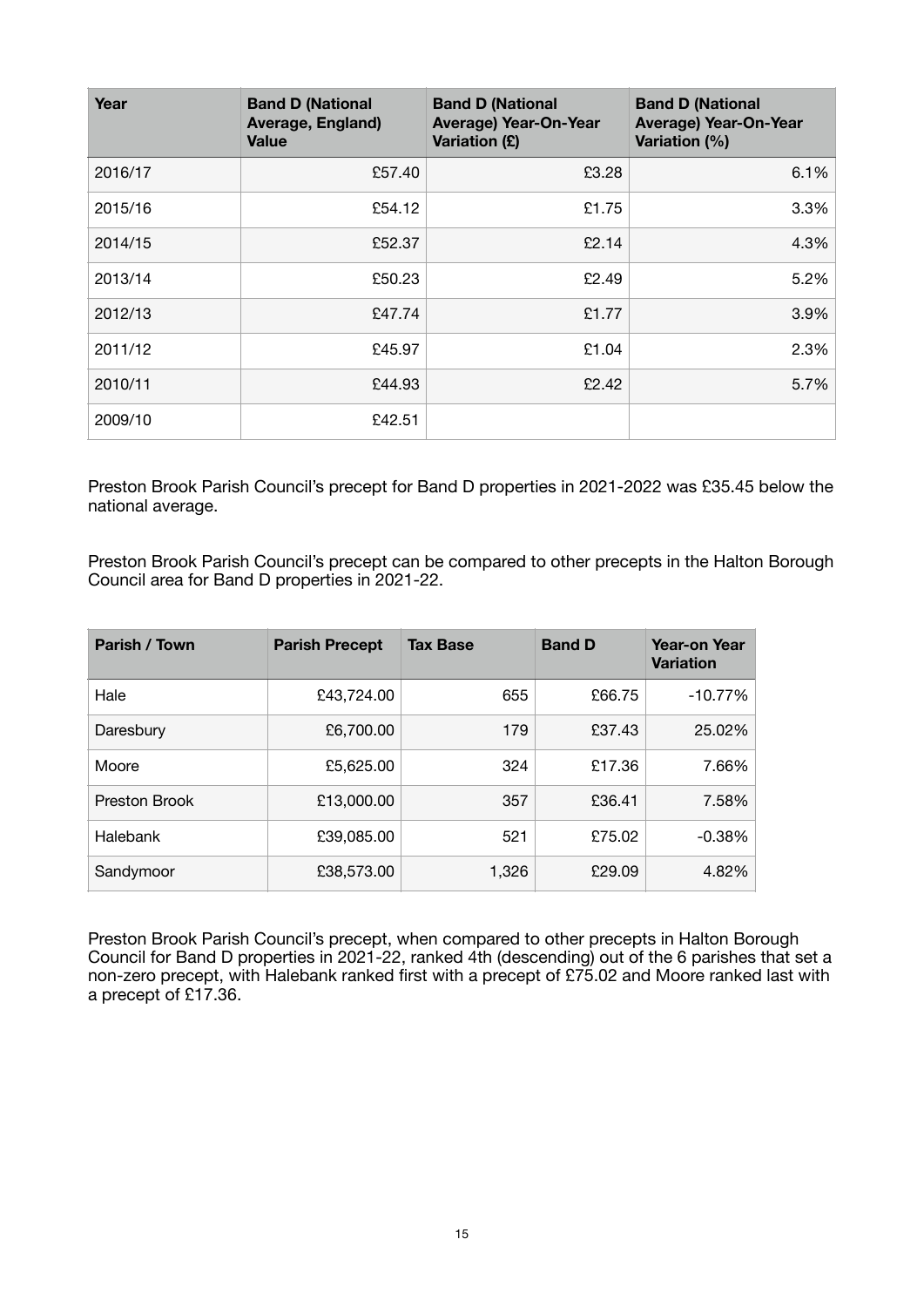| Year    | <b>Band D (National</b><br>Average, England)<br><b>Value</b> | <b>Band D (National</b><br><b>Average) Year-On-Year</b><br><b>Variation (£)</b> | <b>Band D (National</b><br><b>Average) Year-On-Year</b><br><b>Variation (%)</b> |
|---------|--------------------------------------------------------------|---------------------------------------------------------------------------------|---------------------------------------------------------------------------------|
| 2016/17 | £57.40                                                       | £3.28                                                                           | 6.1%                                                                            |
| 2015/16 | £54.12                                                       | £1.75                                                                           | 3.3%                                                                            |
| 2014/15 | £52.37                                                       | £2.14                                                                           | 4.3%                                                                            |
| 2013/14 | £50.23                                                       | £2.49                                                                           | 5.2%                                                                            |
| 2012/13 | £47.74                                                       | £1.77                                                                           | 3.9%                                                                            |
| 2011/12 | £45.97                                                       | £1.04                                                                           | 2.3%                                                                            |
| 2010/11 | £44.93                                                       | £2.42                                                                           | 5.7%                                                                            |
| 2009/10 | £42.51                                                       |                                                                                 |                                                                                 |

Preston Brook Parish Council's precept for Band D properties in 2021-2022 was £35.45 below the national average.

Preston Brook Parish Council's precept can be compared to other precepts in the Halton Borough Council area for Band D properties in 2021-22.

| Parish / Town | <b>Parish Precept</b> | <b>Tax Base</b> | <b>Band D</b> | <b>Year-on Year</b><br><b>Variation</b> |
|---------------|-----------------------|-----------------|---------------|-----------------------------------------|
| Hale          | £43,724.00            | 655             | £66.75        | $-10.77%$                               |
| Daresbury     | £6,700.00             | 179             | £37.43        | 25.02%                                  |
| Moore         | £5,625.00             | 324             | £17.36        | 7.66%                                   |
| Preston Brook | £13,000.00            | 357             | £36.41        | 7.58%                                   |
| Halebank      | £39,085.00            | 521             | £75.02        | $-0.38%$                                |
| Sandymoor     | £38,573.00            | 1,326           | £29.09        | 4.82%                                   |

Preston Brook Parish Council's precept, when compared to other precepts in Halton Borough Council for Band D properties in 2021-22, ranked 4th (descending) out of the 6 parishes that set a non-zero precept, with Halebank ranked first with a precept of £75.02 and Moore ranked last with a precept of £17.36.